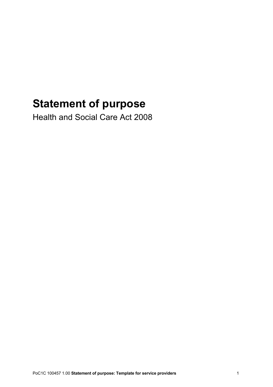## **Statement of purpose**

Health and Social Care Act 2008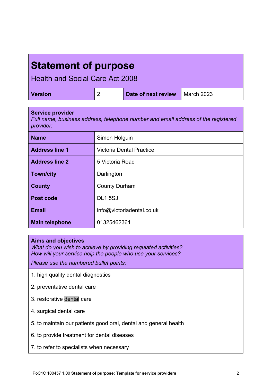## **Statement of purpose**

Health and Social Care Act 2008

| <b>Version</b> |  | Date of next review   March 2023 |  |
|----------------|--|----------------------------------|--|
|----------------|--|----------------------------------|--|

| <b>Service provider</b><br>Full name, business address, telephone number and email address of the registered<br>provider: |                                 |  |  |
|---------------------------------------------------------------------------------------------------------------------------|---------------------------------|--|--|
| <b>Name</b>                                                                                                               | Simon Holguin                   |  |  |
| <b>Address line 1</b>                                                                                                     | <b>Victoria Dental Practice</b> |  |  |
| <b>Address line 2</b>                                                                                                     | 5 Victoria Road                 |  |  |
| <b>Town/city</b>                                                                                                          | Darlington                      |  |  |
| County                                                                                                                    | <b>County Durham</b>            |  |  |
| Post code                                                                                                                 | <b>DL15SJ</b>                   |  |  |
| <b>Email</b>                                                                                                              | info@victoriadental.co.uk       |  |  |
| <b>Main telephone</b>                                                                                                     | 01325462361                     |  |  |

## **Aims and objectives**

*What do you wish to achieve by providing regulated activities? How will your service help the people who use your services?*

*Please use the numbered bullet points:*

- 1. high quality dental diagnostics
- 2. preventative dental care
- 3. restorative dental care
- 4. surgical dental care
- 5. to maintain our patients good oral, dental and general health
- 6. to provide treatment for dental diseases
- 7. to refer to specialists when necessary